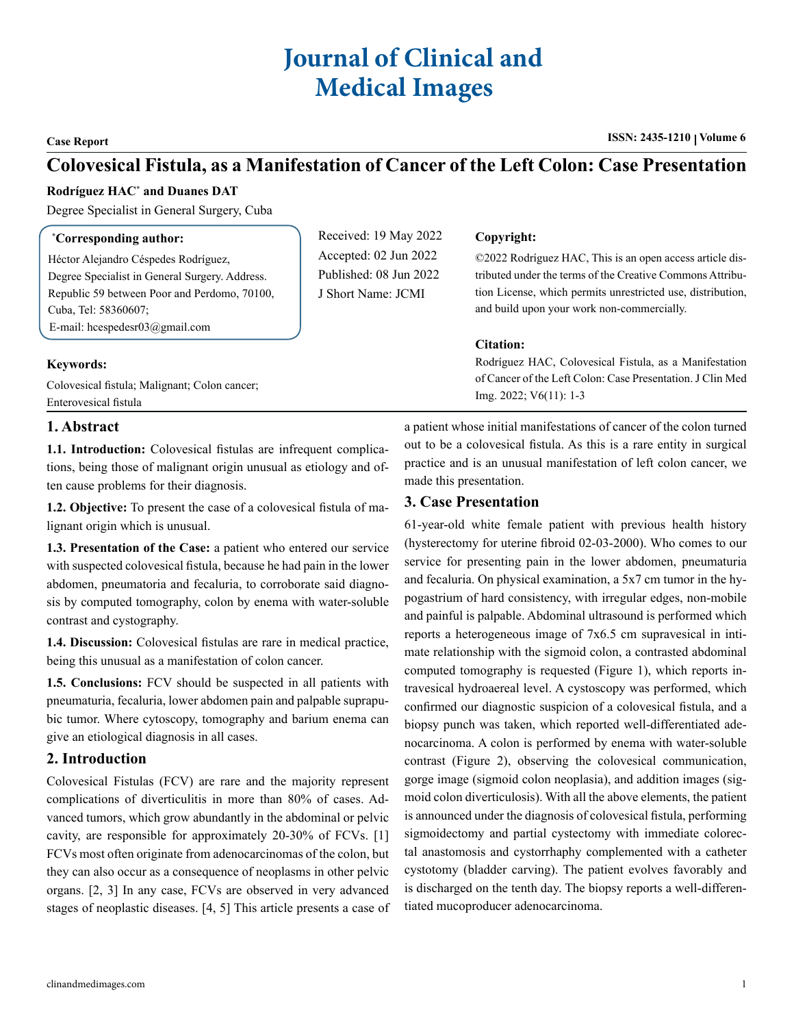# **Journal of Clinical and Medical Images**

**Case Report ISSN: 2435-1210** | Volume 6

## **Colovesical Fistula, as a Manifestation of Cancer of the Left Colon: Case Presentation**

#### **Rodríguez HAC\* and Duanes DAT**

Degree Specialist in General Surgery, Cuba

| <i>*Corresponding author:</i>                  | Received: 19 May 2022             | Copyright:                                                  |
|------------------------------------------------|-----------------------------------|-------------------------------------------------------------|
| Héctor Alejandro Céspedes Rodríguez.           | Accepted: 02 Jun 2022             | ©2022 Rodríguez HAC, This is an open access article dis-    |
| Degree Specialist in General Surgery. Address. | Published: $08 \text{ Jun } 2022$ | tributed under the terms of the Creative Commons Attribu-   |
| Republic 59 between Poor and Perdomo, 70100,   | J Short Name: JCMI                | tion License, which permits unrestricted use, distribution, |
| Cuba, Tel: 58360607;                           |                                   | and build upon your work non-commercially.                  |
| E-mail: hcespedesr $03$ @gmail.com             |                                   |                                                             |
|                                                |                                   | <b>Citation:</b>                                            |
| <b>Keywords:</b>                               |                                   | Rodríguez HAC, Colovesical Fistula, as a Manifestation      |
| Colovesical fistula; Malignant; Colon cancer;  |                                   | of Cancer of the Left Colon: Case Presentation. J Clin Med  |
| Enterovesical fistula                          |                                   | $Img. 2022$ ; $V6(11)$ : 1-3                                |

#### **1. Abstract**

**1.1. Introduction:** Colovesical fistulas are infrequent complications, being those of malignant origin unusual as etiology and often cause problems for their diagnosis.

**1.2. Objective:** To present the case of a colovesical fistula of malignant origin which is unusual.

**1.3. Presentation of the Case:** a patient who entered our service with suspected colovesical fistula, because he had pain in the lower abdomen, pneumatoria and fecaluria, to corroborate said diagnosis by computed tomography, colon by enema with water-soluble contrast and cystography.

**1.4. Discussion:** Colovesical fistulas are rare in medical practice, being this unusual as a manifestation of colon cancer.

**1.5. Conclusions:** FCV should be suspected in all patients with pneumaturia, fecaluria, lower abdomen pain and palpable suprapubic tumor. Where cytoscopy, tomography and barium enema can give an etiological diagnosis in all cases.

### **2. Introduction**

Colovesical Fistulas (FCV) are rare and the majority represent complications of diverticulitis in more than 80% of cases. Advanced tumors, which grow abundantly in the abdominal or pelvic cavity, are responsible for approximately 20-30% of FCVs. [1] FCVs most often originate from adenocarcinomas of the colon, but they can also occur as a consequence of neoplasms in other pelvic organs. [2, 3] In any case, FCVs are observed in very advanced stages of neoplastic diseases. [4, 5] This article presents a case of

a patient whose initial manifestations of cancer of the colon turned out to be a colovesical fistula. As this is a rare entity in surgical practice and is an unusual manifestation of left colon cancer, we made this presentation.

#### **3. Case Presentation**

61-year-old white female patient with previous health history (hysterectomy for uterine fibroid 02-03-2000). Who comes to our service for presenting pain in the lower abdomen, pneumaturia and fecaluria. On physical examination, a 5x7 cm tumor in the hypogastrium of hard consistency, with irregular edges, non-mobile and painful is palpable. Abdominal ultrasound is performed which reports a heterogeneous image of 7x6.5 cm supravesical in intimate relationship with the sigmoid colon, a contrasted abdominal computed tomography is requested (Figure 1), which reports intravesical hydroaereal level. A cystoscopy was performed, which confirmed our diagnostic suspicion of a colovesical fistula, and a biopsy punch was taken, which reported well-differentiated adenocarcinoma. A colon is performed by enema with water-soluble contrast (Figure 2), observing the colovesical communication, gorge image (sigmoid colon neoplasia), and addition images (sigmoid colon diverticulosis). With all the above elements, the patient is announced under the diagnosis of colovesical fistula, performing sigmoidectomy and partial cystectomy with immediate colorectal anastomosis and cystorrhaphy complemented with a catheter cystotomy (bladder carving). The patient evolves favorably and is discharged on the tenth day. The biopsy reports a well-differentiated mucoproducer adenocarcinoma.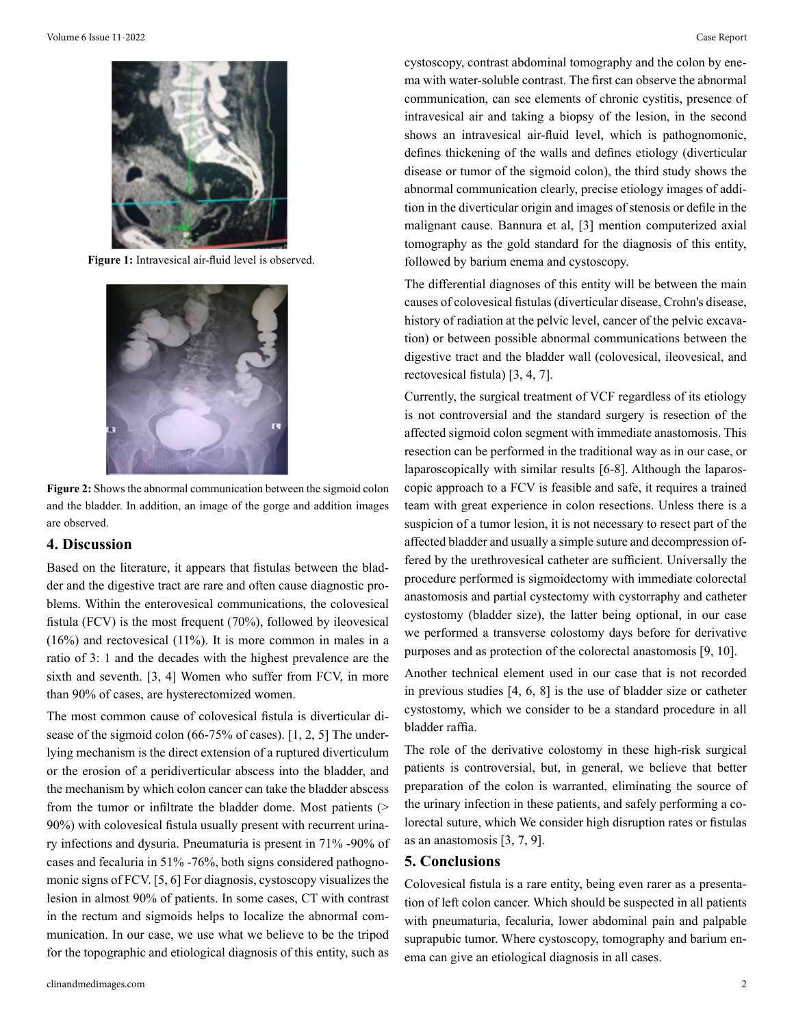

**Figure 1:** Intravesical air-fluid level is observed.



**Figure 2:** Shows the abnormal communication between the sigmoid colon and the bladder. In addition, an image of the gorge and addition images are observed.

#### **4. Discussion**

Based on the literature, it appears that fistulas between the bladder and the digestive tract are rare and often cause diagnostic problems. Within the enterovesical communications, the colovesical fistula (FCV) is the most frequent (70%), followed by ileovesical (16%) and rectovesical (11%). It is more common in males in a ratio of 3: 1 and the decades with the highest prevalence are the sixth and seventh. [3, 4] Women who suffer from FCV, in more than 90% of cases, are hysterectomized women.

The most common cause of colovesical fistula is diverticular disease of the sigmoid colon (66-75% of cases). [1, 2, 5] The underlying mechanism is the direct extension of a ruptured diverticulum or the erosion of a peridiverticular abscess into the bladder, and the mechanism by which colon cancer can take the bladder abscess from the tumor or infiltrate the bladder dome. Most patients (> 90%) with colovesical fistula usually present with recurrent urinary infections and dysuria. Pneumaturia is present in 71% -90% of cases and fecaluria in 51% -76%, both signs considered pathognomonic signs of FCV. [5, 6] For diagnosis, cystoscopy visualizes the lesion in almost 90% of patients. In some cases, CT with contrast in the rectum and sigmoids helps to localize the abnormal communication. In our case, we use what we believe to be the tripod for the topographic and etiological diagnosis of this entity, such as

clinandmedimages.com 2

cystoscopy, contrast abdominal tomography and the colon by enema with water-soluble contrast. The first can observe the abnormal communication, can see elements of chronic cystitis, presence of intravesical air and taking a biopsy of the lesion, in the second shows an intravesical air-fluid level, which is pathognomonic, defines thickening of the walls and defines etiology (diverticular disease or tumor of the sigmoid colon), the third study shows the abnormal communication clearly, precise etiology images of addition in the diverticular origin and images of stenosis or defile in the malignant cause. Bannura et al, [3] mention computerized axial tomography as the gold standard for the diagnosis of this entity, followed by barium enema and cystoscopy.

The differential diagnoses of this entity will be between the main causes of colovesical fistulas (diverticular disease, Crohn's disease, history of radiation at the pelvic level, cancer of the pelvic excavation) or between possible abnormal communications between the digestive tract and the bladder wall (colovesical, ileovesical, and rectovesical fistula) [3, 4, 7].

Currently, the surgical treatment of VCF regardless of its etiology is not controversial and the standard surgery is resection of the affected sigmoid colon segment with immediate anastomosis. This resection can be performed in the traditional way as in our case, or laparoscopically with similar results [6-8]. Although the laparoscopic approach to a FCV is feasible and safe, it requires a trained team with great experience in colon resections. Unless there is a suspicion of a tumor lesion, it is not necessary to resect part of the affected bladder and usually a simple suture and decompression offered by the urethrovesical catheter are sufficient. Universally the procedure performed is sigmoidectomy with immediate colorectal anastomosis and partial cystectomy with cystorraphy and catheter cystostomy (bladder size), the latter being optional, in our case we performed a transverse colostomy days before for derivative purposes and as protection of the colorectal anastomosis [9, 10].

Another technical element used in our case that is not recorded in previous studies [4, 6, 8] is the use of bladder size or catheter cystostomy, which we consider to be a standard procedure in all bladder raffia.

The role of the derivative colostomy in these high-risk surgical patients is controversial, but, in general, we believe that better preparation of the colon is warranted, eliminating the source of the urinary infection in these patients, and safely performing a colorectal suture, which We consider high disruption rates or fistulas as an anastomosis [3, 7, 9].

### **5. Conclusions**

Colovesical fistula is a rare entity, being even rarer as a presentation of left colon cancer. Which should be suspected in all patients with pneumaturia, fecaluria, lower abdominal pain and palpable suprapubic tumor. Where cystoscopy, tomography and barium enema can give an etiological diagnosis in all cases.